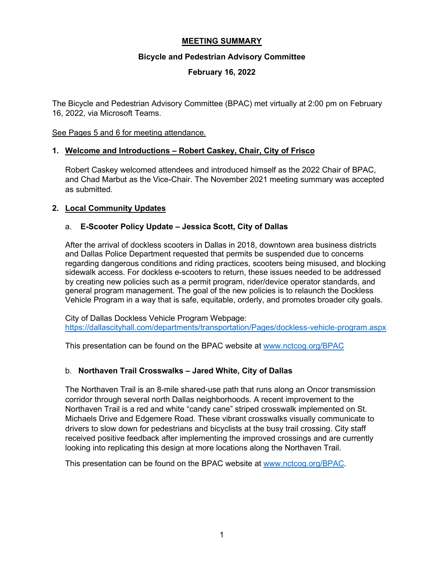## **MEETING SUMMARY**

#### **Bicycle and Pedestrian Advisory Committee**

#### **February 16, 2022**

The Bicycle and Pedestrian Advisory Committee (BPAC) met virtually at 2:00 pm on February 16, 2022, via Microsoft Teams.

#### See Pages 5 and 6 for meeting attendance.

#### **1. Welcome and Introductions – Robert Caskey, Chair, City of Frisco**

Robert Caskey welcomed attendees and introduced himself as the 2022 Chair of BPAC, and Chad Marbut as the Vice-Chair. The November 2021 meeting summary was accepted as submitted.

#### **2. Local Community Updates**

#### a. **E-Scooter Policy Update – Jessica Scott, City of Dallas**

After the arrival of dockless scooters in Dallas in 2018, downtown area business districts and Dallas Police Department requested that permits be suspended due to concerns regarding dangerous conditions and riding practices, scooters being misused, and blocking sidewalk access. For dockless e-scooters to return, these issues needed to be addressed by creating new policies such as a permit program, rider/device operator standards, and general program management. The goal of the new policies is to relaunch the Dockless Vehicle Program in a way that is safe, equitable, orderly, and promotes broader city goals.

City of Dallas Dockless Vehicle Program Webpage: <https://dallascityhall.com/departments/transportation/Pages/dockless-vehicle-program.aspx>

This presentation can be found on the BPAC website at [www.nctcog.org/BPAC](http://www.nctcog.org/BPAC)

#### b. **Northaven Trail Crosswalks – Jared White, City of Dallas**

The Northaven Trail is an 8-mile shared-use path that runs along an Oncor transmission corridor through several north Dallas neighborhoods. A recent improvement to the Northaven Trail is a red and white "candy cane" striped crosswalk implemented on St. Michaels Drive and Edgemere Road. These vibrant crosswalks visually communicate to drivers to slow down for pedestrians and bicyclists at the busy trail crossing. City staff received positive feedback after implementing the improved crossings and are currently looking into replicating this design at more locations along the Northaven Trail.

This presentation can be found on the BPAC website at [www.nctcog.org/BPAC.](http://www.nctcog.org/BPAC)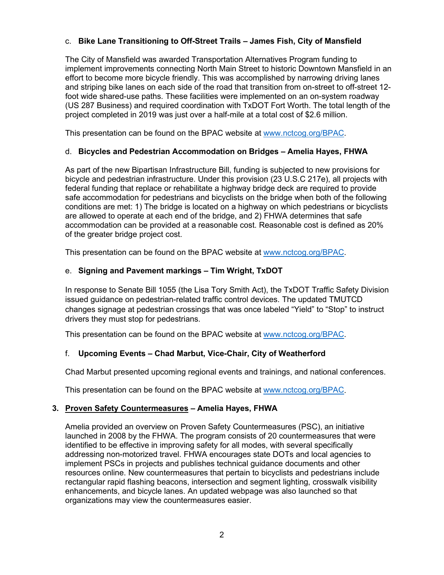## c. **Bike Lane Transitioning to Off-Street Trails – James Fish, City of Mansfield**

The City of Mansfield was awarded Transportation Alternatives Program funding to implement improvements connecting North Main Street to historic Downtown Mansfield in an effort to become more bicycle friendly. This was accomplished by narrowing driving lanes and striping bike lanes on each side of the road that transition from on-street to off-street 12 foot wide shared-use paths. These facilities were implemented on an on-system roadway (US 287 Business) and required coordination with TxDOT Fort Worth. The total length of the project completed in 2019 was just over a half-mile at a total cost of \$2.6 million.

This presentation can be found on the BPAC website at [www.nctcog.org/BPAC.](http://www.nctcog.org/BPAC)

#### d. **Bicycles and Pedestrian Accommodation on Bridges – Amelia Hayes, FHWA**

As part of the new Bipartisan Infrastructure Bill, funding is subjected to new provisions for bicycle and pedestrian infrastructure. Under this provision (23 U.S.C 217e), all projects with federal funding that replace or rehabilitate a highway bridge deck are required to provide safe accommodation for pedestrians and bicyclists on the bridge when both of the following conditions are met: 1) The bridge is located on a highway on which pedestrians or bicyclists are allowed to operate at each end of the bridge, and 2) FHWA determines that safe accommodation can be provided at a reasonable cost. Reasonable cost is defined as 20% of the greater bridge project cost.

This presentation can be found on the BPAC website at [www.nctcog.org/BPAC.](http://www.nctcog.org/BPAC)

#### e. **Signing and Pavement markings – Tim Wright, TxDOT**

In response to Senate Bill 1055 (the Lisa Tory Smith Act), the TxDOT Traffic Safety Division issued guidance on pedestrian-related traffic control devices. The updated TMUTCD changes signage at pedestrian crossings that was once labeled "Yield" to "Stop" to instruct drivers they must stop for pedestrians.

This presentation can be found on the BPAC website at [www.nctcog.org/BPAC.](http://www.nctcog.org/BPAC)

#### f. **Upcoming Events – Chad Marbut, Vice-Chair, City of Weatherford**

Chad Marbut presented upcoming regional events and trainings, and national conferences.

This presentation can be found on the BPAC website at [www.nctcog.org/BPAC.](http://www.nctcog.org/BPAC)

#### **3. Proven Safety Countermeasures – Amelia Hayes, FHWA**

Amelia provided an overview on Proven Safety Countermeasures (PSC), an initiative launched in 2008 by the FHWA. The program consists of 20 countermeasures that were identified to be effective in improving safety for all modes, with several specifically addressing non-motorized travel. FHWA encourages state DOTs and local agencies to implement PSCs in projects and publishes technical guidance documents and other resources online. New countermeasures that pertain to bicyclists and pedestrians include rectangular rapid flashing beacons, intersection and segment lighting, crosswalk visibility enhancements, and bicycle lanes. An updated webpage was also launched so that organizations may view the countermeasures easier.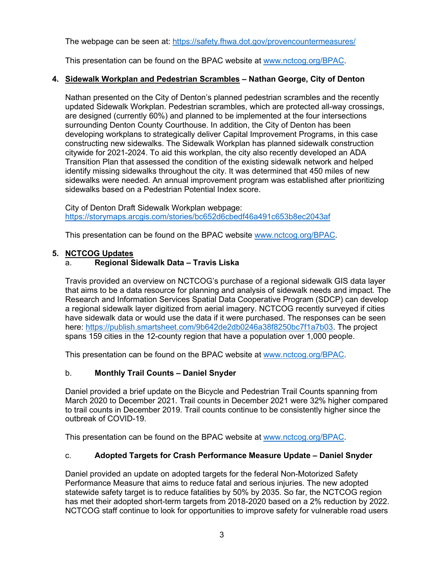The webpage can be seen at:<https://safety.fhwa.dot.gov/provencountermeasures/>

This presentation can be found on the BPAC website at [www.nctcog.org/BPAC.](http://www.nctcog.org/BPAC)

## **4. Sidewalk Workplan and Pedestrian Scrambles – Nathan George, City of Denton**

Nathan presented on the City of Denton's planned pedestrian scrambles and the recently updated Sidewalk Workplan. Pedestrian scrambles, which are protected all-way crossings, are designed (currently 60%) and planned to be implemented at the four intersections surrounding Denton County Courthouse. In addition, the City of Denton has been developing workplans to strategically deliver Capital Improvement Programs, in this case constructing new sidewalks. The Sidewalk Workplan has planned sidewalk construction citywide for 2021-2024. To aid this workplan, the city also recently developed an ADA Transition Plan that assessed the condition of the existing sidewalk network and helped identify missing sidewalks throughout the city. It was determined that 450 miles of new sidewalks were needed. An annual improvement program was established after prioritizing sidewalks based on a Pedestrian Potential Index score.

City of Denton Draft Sidewalk Workplan webpage: <https://storymaps.arcgis.com/stories/bc652d6cbedf46a491c653b8ec2043af>

This presentation can be found on the BPAC website [www.nctcog.org/BPAC.](http://www.nctcog.org/BPAC)

## **5. NCTCOG Updates**

# a. **Regional Sidewalk Data – Travis Liska**

Travis provided an overview on NCTCOG's purchase of a regional sidewalk GIS data layer that aims to be a data resource for planning and analysis of sidewalk needs and impact. The Research and Information Services Spatial Data Cooperative Program (SDCP) can develop a regional sidewalk layer digitized from aerial imagery. NCTCOG recently surveyed if cities have sidewalk data or would use the data if it were purchased. The responses can be seen here: [https://publish.smartsheet.com/9b642de2db0246a38f8250bc7f1a7b03.](https://publish.smartsheet.com/9b642de2db0246a38f8250bc7f1a7b03) The project spans 159 cities in the 12-county region that have a population over 1,000 people.

This presentation can be found on the BPAC website at [www.nctcog.org/BPAC.](http://www.nctcog.org/BPAC)

# b. **Monthly Trail Counts – Daniel Snyder**

Daniel provided a brief update on the Bicycle and Pedestrian Trail Counts spanning from March 2020 to December 2021. Trail counts in December 2021 were 32% higher compared to trail counts in December 2019. Trail counts continue to be consistently higher since the outbreak of COVID-19.

This presentation can be found on the BPAC website at [www.nctcog.org/BPAC.](http://www.nctcog.org/BPAC)

#### c. **Adopted Targets for Crash Performance Measure Update – Daniel Snyder**

Daniel provided an update on adopted targets for the federal Non-Motorized Safety Performance Measure that aims to reduce fatal and serious injuries. The new adopted statewide safety target is to reduce fatalities by 50% by 2035. So far, the NCTCOG region has met their adopted short-term targets from 2018-2020 based on a 2% reduction by 2022. NCTCOG staff continue to look for opportunities to improve safety for vulnerable road users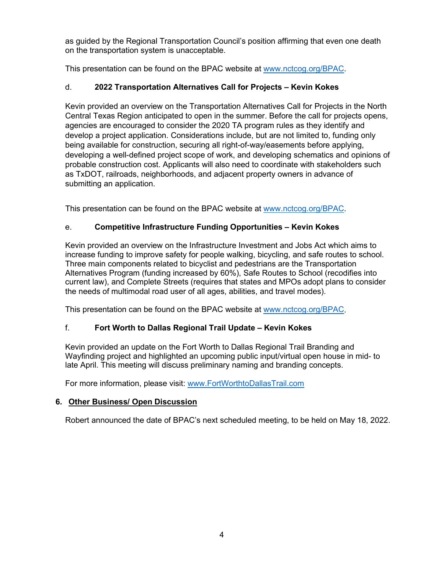as guided by the Regional Transportation Council's position affirming that even one death on the transportation system is unacceptable.

This presentation can be found on the BPAC website at [www.nctcog.org/BPAC.](http://www.nctcog.org/BPAC)

# d. **2022 Transportation Alternatives Call for Projects – Kevin Kokes**

Kevin provided an overview on the Transportation Alternatives Call for Projects in the North Central Texas Region anticipated to open in the summer. Before the call for projects opens, agencies are encouraged to consider the 2020 TA program rules as they identify and develop a project application. Considerations include, but are not limited to, funding only being available for construction, securing all right-of-way/easements before applying, developing a well-defined project scope of work, and developing schematics and opinions of probable construction cost. Applicants will also need to coordinate with stakeholders such as TxDOT, railroads, neighborhoods, and adjacent property owners in advance of submitting an application.

This presentation can be found on the BPAC website at [www.nctcog.org/BPAC.](http://www.nctcog.org/BPAC)

# e. **Competitive Infrastructure Funding Opportunities – Kevin Kokes**

Kevin provided an overview on the Infrastructure Investment and Jobs Act which aims to increase funding to improve safety for people walking, bicycling, and safe routes to school. Three main components related to bicyclist and pedestrians are the Transportation Alternatives Program (funding increased by 60%), Safe Routes to School (recodifies into current law), and Complete Streets (requires that states and MPOs adopt plans to consider the needs of multimodal road user of all ages, abilities, and travel modes).

This presentation can be found on the BPAC website at [www.nctcog.org/BPAC.](http://www.nctcog.org/BPAC)

# f. **Fort Worth to Dallas Regional Trail Update – Kevin Kokes**

Kevin provided an update on the Fort Worth to Dallas Regional Trail Branding and Wayfinding project and highlighted an upcoming public input/virtual open house in mid- to late April. This meeting will discuss preliminary naming and branding concepts.

For more information, please visit: [www.FortWorthtoDallasTrail.com](http://www.fortworthtodallastrail.com/)

# **6. Other Business/ Open Discussion**

Robert announced the date of BPAC's next scheduled meeting, to be held on May 18, 2022.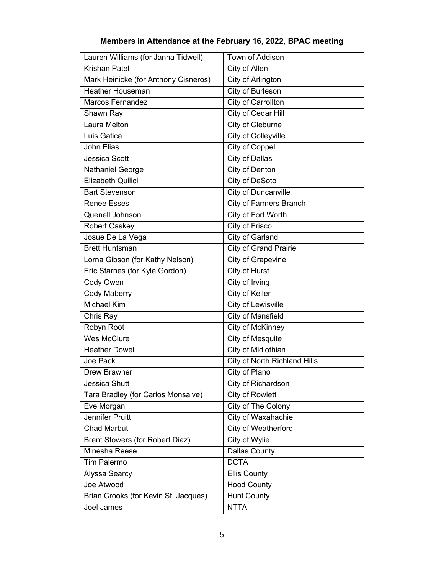| Lauren Williams (for Janna Tidwell)    | Town of Addison               |
|----------------------------------------|-------------------------------|
| <b>Krishan Patel</b>                   | City of Allen                 |
| Mark Heinicke (for Anthony Cisneros)   | City of Arlington             |
| <b>Heather Houseman</b>                | City of Burleson              |
| <b>Marcos Fernandez</b>                | City of Carrollton            |
| Shawn Ray                              | <b>City of Cedar Hill</b>     |
| Laura Melton                           | City of Cleburne              |
| Luis Gatica                            | City of Colleyville           |
| John Elias                             | <b>City of Coppell</b>        |
| Jessica Scott                          | City of Dallas                |
| Nathaniel George                       | City of Denton                |
| <b>Elizabeth Quilici</b>               | City of DeSoto                |
| <b>Bart Stevenson</b>                  | City of Duncanville           |
| <b>Renee Esses</b>                     | <b>City of Farmers Branch</b> |
| Quenell Johnson                        | City of Fort Worth            |
| <b>Robert Caskey</b>                   | City of Frisco                |
| Josue De La Vega                       | City of Garland               |
| <b>Brett Huntsman</b>                  | <b>City of Grand Prairie</b>  |
| Lorna Gibson (for Kathy Nelson)        | <b>City of Grapevine</b>      |
| Eric Starnes (for Kyle Gordon)         | City of Hurst                 |
| Cody Owen                              | City of Irving                |
| <b>Cody Maberry</b>                    | City of Keller                |
| <b>Michael Kim</b>                     | City of Lewisville            |
| Chris Ray                              | City of Mansfield             |
| Robyn Root                             | City of McKinney              |
| <b>Wes McClure</b>                     | <b>City of Mesquite</b>       |
| <b>Heather Dowell</b>                  | <b>City of Midlothian</b>     |
| Joe Pack                               | City of North Richland Hills  |
| Drew Brawner                           | City of Plano                 |
| <b>Jessica Shutt</b>                   | City of Richardson            |
| Tara Bradley (for Carlos Monsalve)     | <b>City of Rowlett</b>        |
| Eve Morgan                             | City of The Colony            |
| Jennifer Pruitt                        | City of Waxahachie            |
| <b>Chad Marbut</b>                     | City of Weatherford           |
| <b>Brent Stowers (for Robert Diaz)</b> | City of Wylie                 |
| Minesha Reese                          | <b>Dallas County</b>          |
| Tim Palermo                            | <b>DCTA</b>                   |
| Alyssa Searcy                          | <b>Ellis County</b>           |
| Joe Atwood                             | <b>Hood County</b>            |
| Brian Crooks (for Kevin St. Jacques)   | <b>Hunt County</b>            |
| Joel James                             | <b>NTTA</b>                   |

# **Members in Attendance at the February 16, 2022, BPAC meeting**